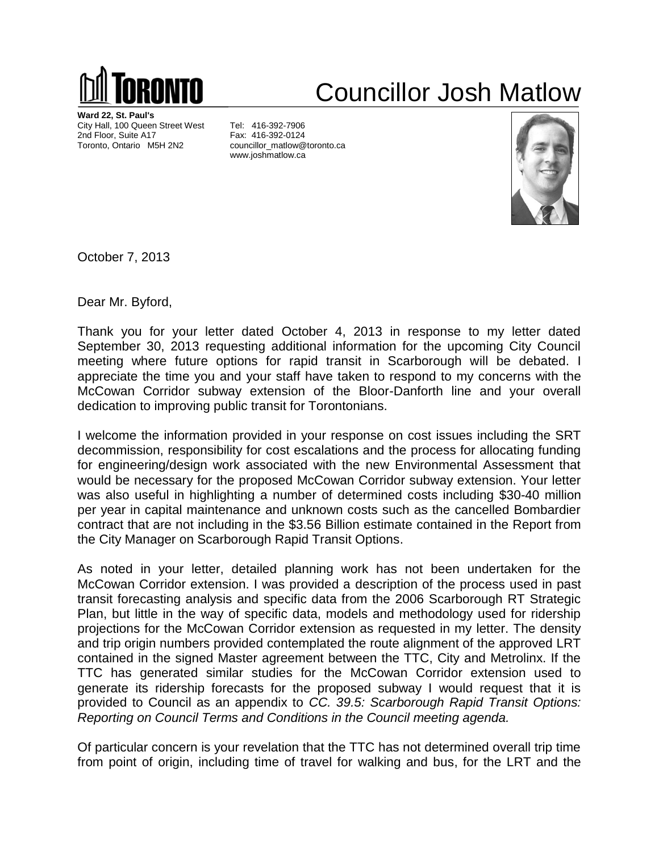

## Councillor Josh Matlow

**Ward 22, St. Paul's** City Hall, 100 Queen Street West Tel: 416-392-7906 2nd Floor, Suite A17 Fax: 416-392-0124 Toronto, Ontario M5H 2N2 councillor\_matlow@toronto.ca

www.joshmatlow.ca



October 7, 2013

Dear Mr. Byford,

Thank you for your letter dated October 4, 2013 in response to my letter dated September 30, 2013 requesting additional information for the upcoming City Council meeting where future options for rapid transit in Scarborough will be debated. I appreciate the time you and your staff have taken to respond to my concerns with the McCowan Corridor subway extension of the Bloor-Danforth line and your overall dedication to improving public transit for Torontonians.

I welcome the information provided in your response on cost issues including the SRT decommission, responsibility for cost escalations and the process for allocating funding for engineering/design work associated with the new Environmental Assessment that would be necessary for the proposed McCowan Corridor subway extension. Your letter was also useful in highlighting a number of determined costs including \$30-40 million per year in capital maintenance and unknown costs such as the cancelled Bombardier contract that are not including in the \$3.56 Billion estimate contained in the Report from the City Manager on Scarborough Rapid Transit Options.

As noted in your letter, detailed planning work has not been undertaken for the McCowan Corridor extension. I was provided a description of the process used in past transit forecasting analysis and specific data from the 2006 Scarborough RT Strategic Plan, but little in the way of specific data, models and methodology used for ridership projections for the McCowan Corridor extension as requested in my letter. The density and trip origin numbers provided contemplated the route alignment of the approved LRT contained in the signed Master agreement between the TTC, City and Metrolinx. If the TTC has generated similar studies for the McCowan Corridor extension used to generate its ridership forecasts for the proposed subway I would request that it is provided to Council as an appendix to *CC. 39.5: Scarborough Rapid Transit Options: Reporting on Council Terms and Conditions in the Council meeting agenda.* 

Of particular concern is your revelation that the TTC has not determined overall trip time from point of origin, including time of travel for walking and bus, for the LRT and the